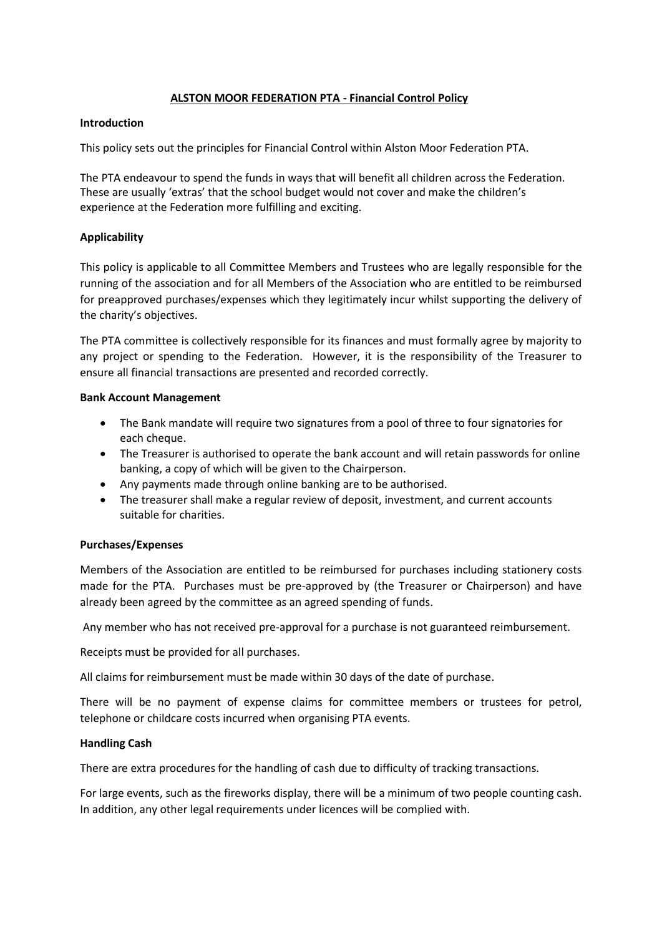# **ALSTON MOOR FEDERATION PTA - Financial Control Policy**

#### **Introduction**

This policy sets out the principles for Financial Control within Alston Moor Federation PTA.

The PTA endeavour to spend the funds in ways that will benefit all children across the Federation. These are usually 'extras' that the school budget would not cover and make the children's experience at the Federation more fulfilling and exciting.

## **Applicability**

This policy is applicable to all Committee Members and Trustees who are legally responsible for the running of the association and for all Members of the Association who are entitled to be reimbursed for preapproved purchases/expenses which they legitimately incur whilst supporting the delivery of the charity's objectives.

The PTA committee is collectively responsible for its finances and must formally agree by majority to any project or spending to the Federation. However, it is the responsibility of the Treasurer to ensure all financial transactions are presented and recorded correctly.

### **Bank Account Management**

- The Bank mandate will require two signatures from a pool of three to four signatories for each cheque.
- The Treasurer is authorised to operate the bank account and will retain passwords for online banking, a copy of which will be given to the Chairperson.
- Any payments made through online banking are to be authorised.
- The treasurer shall make a regular review of deposit, investment, and current accounts suitable for charities.

### **Purchases/Expenses**

Members of the Association are entitled to be reimbursed for purchases including stationery costs made for the PTA. Purchases must be pre-approved by (the Treasurer or Chairperson) and have already been agreed by the committee as an agreed spending of funds.

Any member who has not received pre-approval for a purchase is not guaranteed reimbursement.

Receipts must be provided for all purchases.

All claims for reimbursement must be made within 30 days of the date of purchase.

There will be no payment of expense claims for committee members or trustees for petrol, telephone or childcare costs incurred when organising PTA events.

### **Handling Cash**

There are extra procedures for the handling of cash due to difficulty of tracking transactions.

For large events, such as the fireworks display, there will be a minimum of two people counting cash. In addition, any other legal requirements under licences will be complied with.